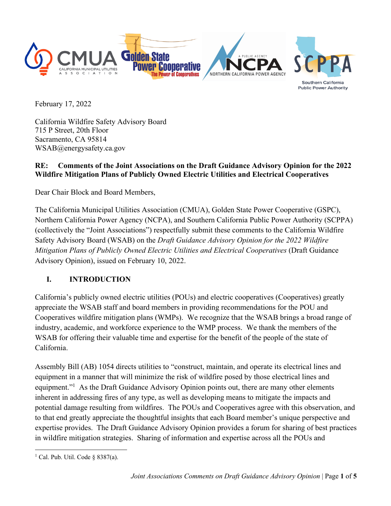

Southern California **Public Power Authority** 

February 17, 2022

California Wildfire Safety Advisory Board 715 P Street, 20th Floor Sacramento, CA 95814 WSAB@energysafety.ca.gov

#### **RE: Comments of the Joint Associations on the Draft Guidance Advisory Opinion for the 2022 Wildfire Mitigation Plans of Publicly Owned Electric Utilities and Electrical Cooperatives**

Dear Chair Block and Board Members,

The California Municipal Utilities Association (CMUA), Golden State Power Cooperative (GSPC), Northern California Power Agency (NCPA), and Southern California Public Power Authority (SCPPA) (collectively the "Joint Associations") respectfully submit these comments to the California Wildfire Safety Advisory Board (WSAB) on the *Draft Guidance Advisory Opinion for the 2022 Wildfire Mitigation Plans of Publicly Owned Electric Utilities and Electrical Cooperatives* (Draft Guidance Advisory Opinion), issued on February 10, 2022.

# **I. INTRODUCTION**

California's publicly owned electric utilities (POUs) and electric cooperatives (Cooperatives) greatly appreciate the WSAB staff and board members in providing recommendations for the POU and Cooperatives wildfire mitigation plans (WMPs). We recognize that the WSAB brings a broad range of industry, academic, and workforce experience to the WMP process. We thank the members of the WSAB for offering their valuable time and expertise for the benefit of the people of the state of California.

Assembly Bill (AB) 1054 directs utilities to "construct, maintain, and operate its electrical lines and equipment in a manner that will minimize the risk of wildfire posed by those electrical lines and equipment."<sup>1</sup> As the Draft Guidance Advisory Opinion points out, there are many other elements inherent in addressing fires of any type, as well as developing means to mitigate the impacts and potential damage resulting from wildfires. The POUs and Cooperatives agree with this observation, and to that end greatly appreciate the thoughtful insights that each Board member's unique perspective and expertise provides. The Draft Guidance Advisory Opinion provides a forum for sharing of best practices in wildfire mitigation strategies. Sharing of information and expertise across all the POUs and

<sup>&</sup>lt;sup>1</sup> Cal. Pub. Util. Code § 8387(a).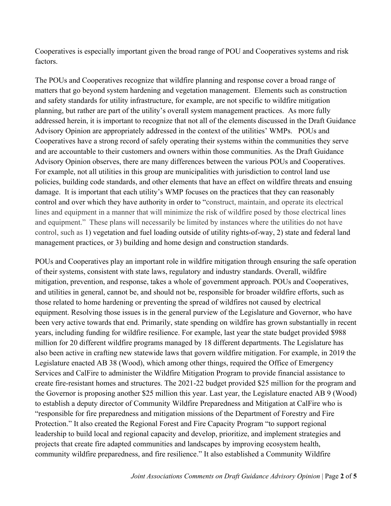Cooperatives is especially important given the broad range of POU and Cooperatives systems and risk factors.

The POUs and Cooperatives recognize that wildfire planning and response cover a broad range of matters that go beyond system hardening and vegetation management. Elements such as construction and safety standards for utility infrastructure, for example, are not specific to wildfire mitigation planning, but rather are part of the utility's overall system management practices. As more fully addressed herein, it is important to recognize that not all of the elements discussed in the Draft Guidance Advisory Opinion are appropriately addressed in the context of the utilities' WMPs. POUs and Cooperatives have a strong record of safely operating their systems within the communities they serve and are accountable to their customers and owners within those communities. As the Draft Guidance Advisory Opinion observes, there are many differences between the various POUs and Cooperatives. For example, not all utilities in this group are municipalities with jurisdiction to control land use policies, building code standards, and other elements that have an effect on wildfire threats and ensuing damage. It is important that each utility's WMP focuses on the practices that they can reasonably control and over which they have authority in order to "construct, maintain, and operate its electrical lines and equipment in a manner that will minimize the risk of wildfire posed by those electrical lines and equipment." These plans will necessarily be limited by instances where the utilities do not have control, such as 1) vegetation and fuel loading outside of utility rights-of-way, 2) state and federal land management practices, or 3) building and home design and construction standards.

POUs and Cooperatives play an important role in wildfire mitigation through ensuring the safe operation of their systems, consistent with state laws, regulatory and industry standards. Overall, wildfire mitigation, prevention, and response, takes a whole of government approach. POUs and Cooperatives, and utilities in general, cannot be, and should not be, responsible for broader wildfire efforts, such as those related to home hardening or preventing the spread of wildfires not caused by electrical equipment. Resolving those issues is in the general purview of the Legislature and Governor, who have been very active towards that end. Primarily, state spending on wildfire has grown substantially in recent years, including funding for wildfire resilience. For example, last year the state budget provided \$988 million for 20 different wildfire programs managed by 18 different departments. The Legislature has also been active in crafting new statewide laws that govern wildfire mitigation. For example, in 2019 the Legislature enacted AB 38 (Wood), which among other things, required the Office of Emergency Services and CalFire to administer the Wildfire Mitigation Program to provide financial assistance to create fire-resistant homes and structures. The 2021-22 budget provided \$25 million for the program and the Governor is proposing another \$25 million this year. Last year, the Legislature enacted AB 9 (Wood) to establish a deputy director of Community Wildfire Preparedness and Mitigation at CalFire who is "responsible for fire preparedness and mitigation missions of the Department of Forestry and Fire Protection." It also created the Regional Forest and Fire Capacity Program "to support regional leadership to build local and regional capacity and develop, prioritize, and implement strategies and projects that create fire adapted communities and landscapes by improving ecosystem health, community wildfire preparedness, and fire resilience." It also established a Community Wildfire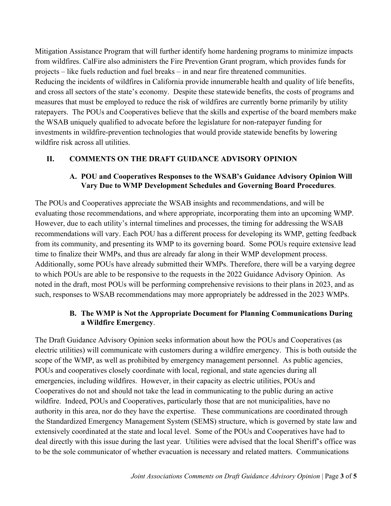Mitigation Assistance Program that will further identify home hardening programs to minimize impacts from wildfires. CalFire also administers the Fire Prevention Grant program, which provides funds for projects – like fuels reduction and fuel breaks – in and near fire threatened communities. Reducing the incidents of wildfires in California provide innumerable health and quality of life benefits, and cross all sectors of the state's economy. Despite these statewide benefits, the costs of programs and measures that must be employed to reduce the risk of wildfires are currently borne primarily by utility ratepayers. The POUs and Cooperatives believe that the skills and expertise of the board members make the WSAB uniquely qualified to advocate before the legislature for non-ratepayer funding for investments in wildfire-prevention technologies that would provide statewide benefits by lowering wildfire risk across all utilities.

#### **II. COMMENTS ON THE DRAFT GUIDANCE ADVISORY OPINION**

#### **A. POU and Cooperatives Responses to the WSAB's Guidance Advisory Opinion Will Vary Due to WMP Development Schedules and Governing Board Procedures**.

The POUs and Cooperatives appreciate the WSAB insights and recommendations, and will be evaluating those recommendations, and where appropriate, incorporating them into an upcoming WMP. However, due to each utility's internal timelines and processes, the timing for addressing the WSAB recommendations will vary. Each POU has a different process for developing its WMP, getting feedback from its community, and presenting its WMP to its governing board. Some POUs require extensive lead time to finalize their WMPs, and thus are already far along in their WMP development process. Additionally, some POUs have already submitted their WMPs. Therefore, there will be a varying degree to which POUs are able to be responsive to the requests in the 2022 Guidance Advisory Opinion. As noted in the draft, most POUs will be performing comprehensive revisions to their plans in 2023, and as such, responses to WSAB recommendations may more appropriately be addressed in the 2023 WMPs.

#### **B. The WMP is Not the Appropriate Document for Planning Communications During a Wildfire Emergency**.

The Draft Guidance Advisory Opinion seeks information about how the POUs and Cooperatives (as electric utilities) will communicate with customers during a wildfire emergency. This is both outside the scope of the WMP, as well as prohibited by emergency management personnel. As public agencies, POUs and cooperatives closely coordinate with local, regional, and state agencies during all emergencies, including wildfires. However, in their capacity as electric utilities, POUs and Cooperatives do not and should not take the lead in communicating to the public during an active wildfire. Indeed, POUs and Cooperatives, particularly those that are not municipalities, have no authority in this area, nor do they have the expertise. These communications are coordinated through the Standardized Emergency Management System (SEMS) structure, which is governed by state law and extensively coordinated at the state and local level. Some of the POUs and Cooperatives have had to deal directly with this issue during the last year. Utilities were advised that the local Sheriff's office was to be the sole communicator of whether evacuation is necessary and related matters. Communications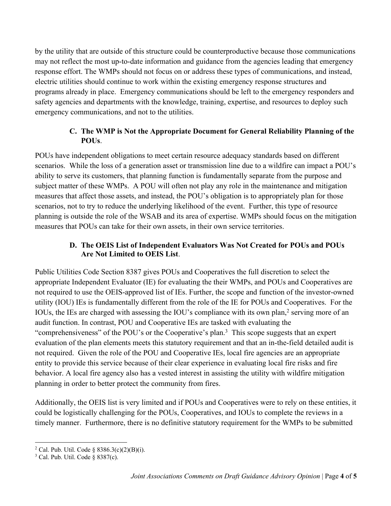by the utility that are outside of this structure could be counterproductive because those communications may not reflect the most up-to-date information and guidance from the agencies leading that emergency response effort. The WMPs should not focus on or address these types of communications, and instead, electric utilities should continue to work within the existing emergency response structures and programs already in place. Emergency communications should be left to the emergency responders and safety agencies and departments with the knowledge, training, expertise, and resources to deploy such emergency communications, and not to the utilities.

### **C. The WMP is Not the Appropriate Document for General Reliability Planning of the POUs**.

POUs have independent obligations to meet certain resource adequacy standards based on different scenarios. While the loss of a generation asset or transmission line due to a wildfire can impact a POU's ability to serve its customers, that planning function is fundamentally separate from the purpose and subject matter of these WMPs. A POU will often not play any role in the maintenance and mitigation measures that affect those assets, and instead, the POU's obligation is to appropriately plan for those scenarios, not to try to reduce the underlying likelihood of the event. Further, this type of resource planning is outside the role of the WSAB and its area of expertise. WMPs should focus on the mitigation measures that POUs can take for their own assets, in their own service territories.

### **D. The OEIS List of Independent Evaluators Was Not Created for POUs and POUs Are Not Limited to OEIS List**.

Public Utilities Code Section 8387 gives POUs and Cooperatives the full discretion to select the appropriate Independent Evaluator (IE) for evaluating the their WMPs, and POUs and Cooperatives are not required to use the OEIS-approved list of IEs. Further, the scope and function of the investor-owned utility (IOU) IEs is fundamentally different from the role of the IE for POUs and Cooperatives. For the IOUs, the IEs are charged with assessing the IOU's compliance with its own plan, <sup>2</sup> serving more of an audit function. In contrast, POU and Cooperative IEs are tasked with evaluating the "comprehensiveness" of the POU's or the Cooperative's plan.<sup>3</sup> This scope suggests that an expert evaluation of the plan elements meets this statutory requirement and that an in-the-field detailed audit is not required. Given the role of the POU and Cooperative IEs, local fire agencies are an appropriate entity to provide this service because of their clear experience in evaluating local fire risks and fire behavior. A local fire agency also has a vested interest in assisting the utility with wildfire mitigation planning in order to better protect the community from fires.

Additionally, the OEIS list is very limited and if POUs and Cooperatives were to rely on these entities, it could be logistically challenging for the POUs, Cooperatives, and IOUs to complete the reviews in a timely manner. Furthermore, there is no definitive statutory requirement for the WMPs to be submitted

<sup>&</sup>lt;sup>2</sup> Cal. Pub. Util. Code § 8386.3(c)(2)(B)(i).

 $3$  Cal. Pub. Util. Code  $\frac{8}{9}$  8387(c).